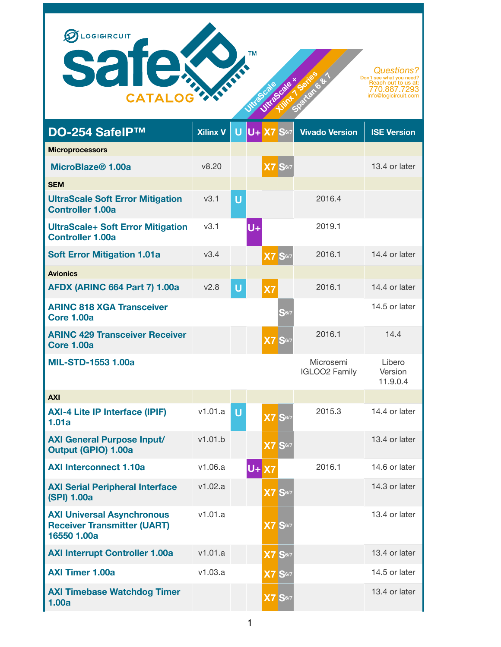

| DO-254 SafeIP™                                                                         | <b>Xilinx V</b>  | U      | lU+l  | <b>X7</b>              | $ S_{6/7} $          | <b>Vivado Version</b>             | <b>ISE Version</b>            |
|----------------------------------------------------------------------------------------|------------------|--------|-------|------------------------|----------------------|-----------------------------------|-------------------------------|
| <b>Microprocessors</b>                                                                 |                  |        |       |                        |                      |                                   |                               |
| MicroBlaze <sup>®</sup> 1.00a                                                          | v8.20            |        |       | $\overline{\text{X7}}$ | <b>S</b> 6/7         |                                   | 13.4 or later                 |
| <b>SEM</b>                                                                             |                  |        |       |                        |                      |                                   |                               |
| <b>UltraScale Soft Error Mitigation</b><br><b>Controller 1.00a</b>                     | v3.1             | U      |       |                        |                      | 2016.4                            |                               |
| <b>UltraScale+ Soft Error Mitigation</b><br><b>Controller 1.00a</b>                    | v3.1             |        | $U +$ |                        |                      | 2019.1                            |                               |
| <b>Soft Error Mitigation 1.01a</b>                                                     | V3.4             |        |       | X <sub>7</sub>         | <b>S</b> 6/7         | 2016.1                            | 14.4 or later                 |
| <b>Avionics</b>                                                                        |                  |        |       |                        |                      |                                   |                               |
| <b>AFDX (ARINC 664 Part 7) 1.00a</b>                                                   | V <sub>2.8</sub> | $\cup$ |       | X7                     |                      | 2016.1                            | 14.4 or later                 |
| <b>ARINC 818 XGA Transceiver</b><br><b>Core 1.00a</b>                                  |                  |        |       |                        | S <sub>6/7</sub>     |                                   | 14.5 or later                 |
| <b>ARINC 429 Transceiver Receiver</b><br><b>Core 1.00a</b>                             |                  |        |       |                        | $X7$ $S6/7$          | 2016.1                            | 14.4                          |
| <b>MIL-STD-1553 1.00a</b>                                                              |                  |        |       |                        |                      | Microsemi<br><b>IGLOO2 Family</b> | Libero<br>Version<br>11.9.0.4 |
| <b>AXI</b>                                                                             |                  |        |       |                        |                      |                                   |                               |
| <b>AXI-4 Lite IP Interface (IPIF)</b><br>1.01a                                         | v1.01.a          | U      |       |                        | <b>X7 S6/7</b>       | 2015.3                            | 14.4 or later                 |
| <b>AXI General Purpose Input/</b><br><b>Output (GPIO) 1.00a</b>                        | v1.01.b          |        |       |                        | <b>X7 S</b> 6/7      |                                   | 13.4 or later                 |
| <b>AXI Interconnect 1.10a</b>                                                          | v1.06.a          |        | $U +$ | <b>X7</b>              |                      | 2016.1                            | 14.6 or later                 |
| <b>AXI Serial Peripheral Interface</b><br>(SPI) 1.00a                                  | v1.02.a          |        |       |                        | X7 S <sub>6/7</sub>  |                                   | 14.3 or later                 |
| <b>AXI Universal Asynchronous</b><br><b>Receiver Transmitter (UART)</b><br>16550 1.00a | v1.01.a          |        |       |                        | <b>X7 S</b> 6/7      |                                   | 13.4 or later                 |
| <b>AXI Interrupt Controller 1.00a</b>                                                  | v1.01.a          |        |       |                        | $X7$ S6/7            |                                   | 13.4 or later                 |
| <b>AXI Timer 1.00a</b>                                                                 | v1.03.a          |        |       |                        | $X7S$ <sub>6/7</sub> |                                   | 14.5 or later                 |
| <b>AXI Timebase Watchdog Timer</b><br>1.00a                                            |                  |        |       |                        | $X7S$ <sup>6/7</sup> |                                   | 13.4 or later                 |